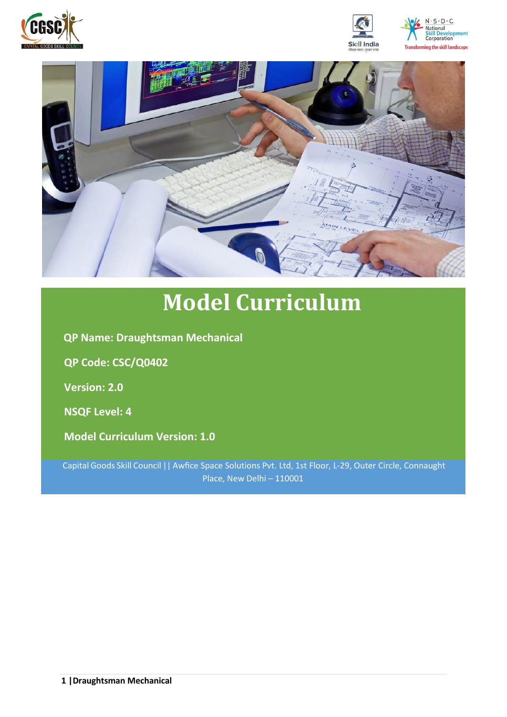





# **Model Curriculum**

**QP Name: Draughtsman Mechanical**

**QP Code: CSC/Q0402**

**Version: 2.0**

**NSQF Level: 4**

**Model Curriculum Version: 1.0**

Capital Goods Skill Council || Awfice Space Solutions Pvt. Ltd, 1st Floor, L-29, Outer Circle, Connaught Place, New Delhi – 110001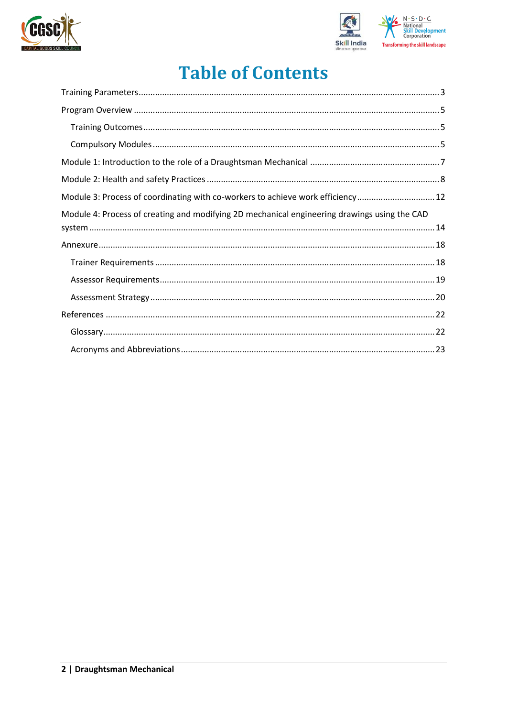



## **Table of Contents**

| Module 3: Process of coordinating with co-workers to achieve work efficiency 12              |
|----------------------------------------------------------------------------------------------|
| Module 4: Process of creating and modifying 2D mechanical engineering drawings using the CAD |
|                                                                                              |
|                                                                                              |
|                                                                                              |
|                                                                                              |
|                                                                                              |
|                                                                                              |
|                                                                                              |
|                                                                                              |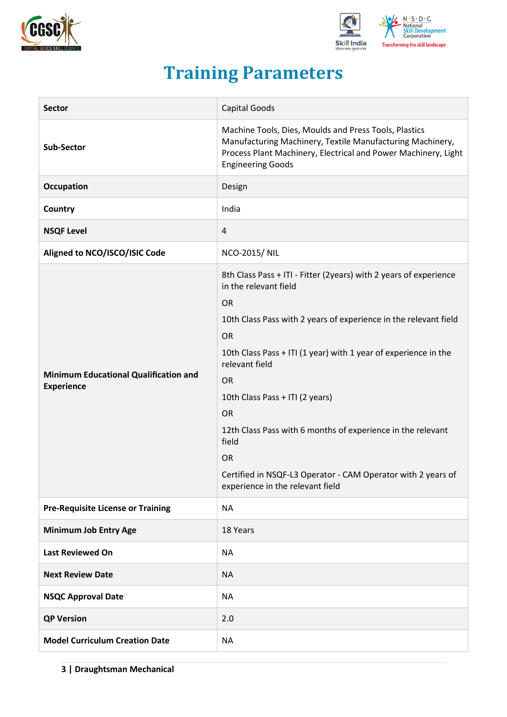



## **Training Parameters**

<span id="page-2-0"></span>

| <b>Sector</b>                                                     | <b>Capital Goods</b>                                                                                                                                                                                                                                                                                                                                                                                                                                                                            |  |  |  |
|-------------------------------------------------------------------|-------------------------------------------------------------------------------------------------------------------------------------------------------------------------------------------------------------------------------------------------------------------------------------------------------------------------------------------------------------------------------------------------------------------------------------------------------------------------------------------------|--|--|--|
| <b>Sub-Sector</b>                                                 | Machine Tools, Dies, Moulds and Press Tools, Plastics<br>Manufacturing Machinery, Textile Manufacturing Machinery,<br>Process Plant Machinery, Electrical and Power Machinery, Light<br><b>Engineering Goods</b>                                                                                                                                                                                                                                                                                |  |  |  |
| <b>Occupation</b>                                                 | Design                                                                                                                                                                                                                                                                                                                                                                                                                                                                                          |  |  |  |
| Country                                                           | India                                                                                                                                                                                                                                                                                                                                                                                                                                                                                           |  |  |  |
| <b>NSQF Level</b>                                                 | 4                                                                                                                                                                                                                                                                                                                                                                                                                                                                                               |  |  |  |
| Aligned to NCO/ISCO/ISIC Code                                     | <b>NCO-2015/ NIL</b>                                                                                                                                                                                                                                                                                                                                                                                                                                                                            |  |  |  |
| <b>Minimum Educational Qualification and</b><br><b>Experience</b> | 8th Class Pass + ITI - Fitter (2years) with 2 years of experience<br>in the relevant field<br><b>OR</b><br>10th Class Pass with 2 years of experience in the relevant field<br><b>OR</b><br>10th Class Pass + ITI (1 year) with 1 year of experience in the<br>relevant field<br><b>OR</b><br>10th Class Pass + ITI (2 years)<br><b>OR</b><br>12th Class Pass with 6 months of experience in the relevant<br>field<br><b>OR</b><br>Certified in NSQF-L3 Operator - CAM Operator with 2 years of |  |  |  |
| <b>Pre-Requisite License or Training</b>                          | <b>NA</b>                                                                                                                                                                                                                                                                                                                                                                                                                                                                                       |  |  |  |
| <b>Minimum Job Entry Age</b>                                      | 18 Years                                                                                                                                                                                                                                                                                                                                                                                                                                                                                        |  |  |  |
| <b>Last Reviewed On</b>                                           | <b>NA</b>                                                                                                                                                                                                                                                                                                                                                                                                                                                                                       |  |  |  |
| <b>Next Review Date</b>                                           | <b>NA</b>                                                                                                                                                                                                                                                                                                                                                                                                                                                                                       |  |  |  |
| <b>NSQC Approval Date</b>                                         | <b>NA</b>                                                                                                                                                                                                                                                                                                                                                                                                                                                                                       |  |  |  |
| <b>QP Version</b>                                                 | 2.0                                                                                                                                                                                                                                                                                                                                                                                                                                                                                             |  |  |  |
| <b>Model Curriculum Creation Date</b>                             | <b>NA</b>                                                                                                                                                                                                                                                                                                                                                                                                                                                                                       |  |  |  |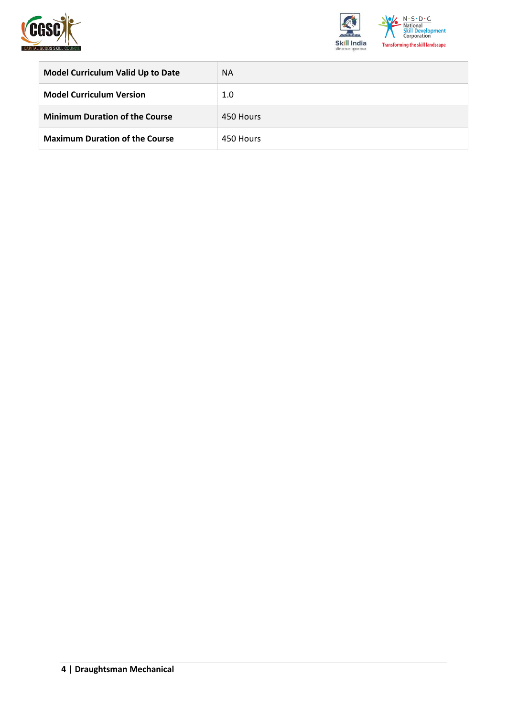



| <b>Model Curriculum Valid Up to Date</b> | <b>NA</b> |
|------------------------------------------|-----------|
| <b>Model Curriculum Version</b>          | 1.0       |
| <b>Minimum Duration of the Course</b>    | 450 Hours |
| <b>Maximum Duration of the Course</b>    | 450 Hours |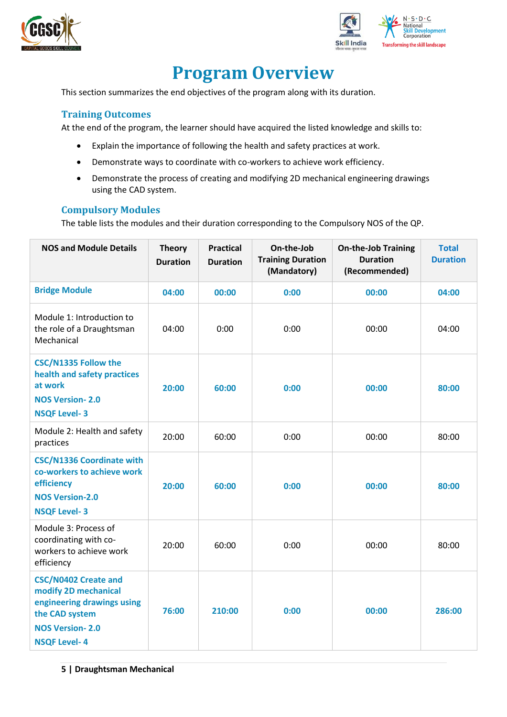



## **Program Overview**

<span id="page-4-0"></span>This section summarizes the end objectives of the program along with its duration.

#### <span id="page-4-1"></span>**Training Outcomes**

At the end of the program, the learner should have acquired the listed knowledge and skills to:

- Explain the importance of following the health and safety practices at work.
- Demonstrate ways to coordinate with co-workers to achieve work efficiency.
- Demonstrate the process of creating and modifying 2D mechanical engineering drawings using the CAD system.

#### <span id="page-4-2"></span>**Compulsory Modules**

The table lists the modules and their duration corresponding to the Compulsory NOS of the QP.

| <b>NOS and Module Details</b>                                                                                                                        | <b>Theory</b><br><b>Duration</b> | <b>Practical</b><br><b>Duration</b> | On-the-Job<br><b>Training Duration</b><br>(Mandatory) | <b>On-the-Job Training</b><br><b>Duration</b><br>(Recommended) | <b>Total</b><br><b>Duration</b> |
|------------------------------------------------------------------------------------------------------------------------------------------------------|----------------------------------|-------------------------------------|-------------------------------------------------------|----------------------------------------------------------------|---------------------------------|
| <b>Bridge Module</b>                                                                                                                                 | 04:00                            | 00:00                               | 0:00                                                  | 00:00                                                          | 04:00                           |
| Module 1: Introduction to<br>the role of a Draughtsman<br>Mechanical                                                                                 | 04:00                            | 0:00                                | 0:00<br>00:00                                         |                                                                | 04:00                           |
| <b>CSC/N1335 Follow the</b><br>health and safety practices<br>at work<br><b>NOS Version-2.0</b><br><b>NSQF Level-3</b>                               | 20:00                            | 60:00                               | 0:00                                                  | 00:00                                                          | 80:00                           |
| Module 2: Health and safety<br>practices                                                                                                             | 20:00                            | 60:00                               | 0:00                                                  | 00:00                                                          | 80:00                           |
| <b>CSC/N1336 Coordinate with</b><br>co-workers to achieve work<br>efficiency<br><b>NOS Version-2.0</b><br><b>NSQF Level-3</b>                        | 20:00                            | 60:00                               | 0:00                                                  | 00:00                                                          | 80:00                           |
| Module 3: Process of<br>coordinating with co-<br>workers to achieve work<br>efficiency                                                               | 20:00                            | 60:00                               | 0:00                                                  | 00:00                                                          | 80:00                           |
| <b>CSC/N0402 Create and</b><br>modify 2D mechanical<br>engineering drawings using<br>the CAD system<br><b>NOS Version-2.0</b><br><b>NSQF Level-4</b> | 76:00                            | 210:00                              | 0:00                                                  | 00:00                                                          | 286:00                          |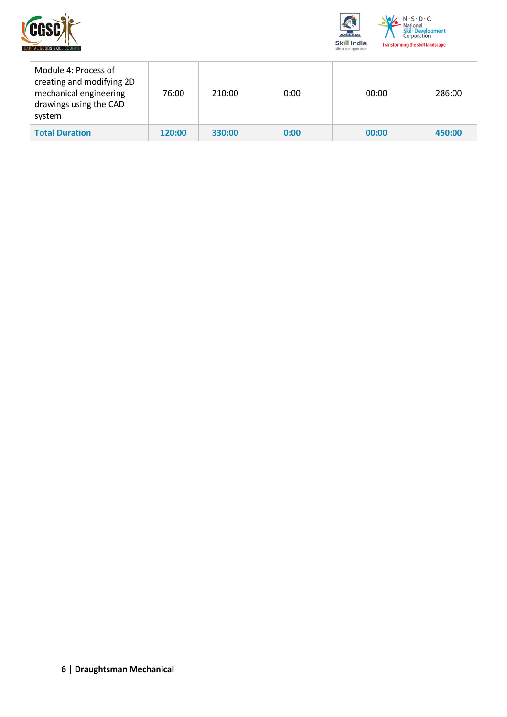



| Module 4: Process of<br>creating and modifying 2D<br>mechanical engineering<br>drawings using the CAD<br>system | 76:00  | 210:00 | 0:00 | 00:00 | 286:00 |
|-----------------------------------------------------------------------------------------------------------------|--------|--------|------|-------|--------|
| <b>Total Duration</b>                                                                                           | 120:00 | 330:00 | 0:00 | 00:00 | 450:00 |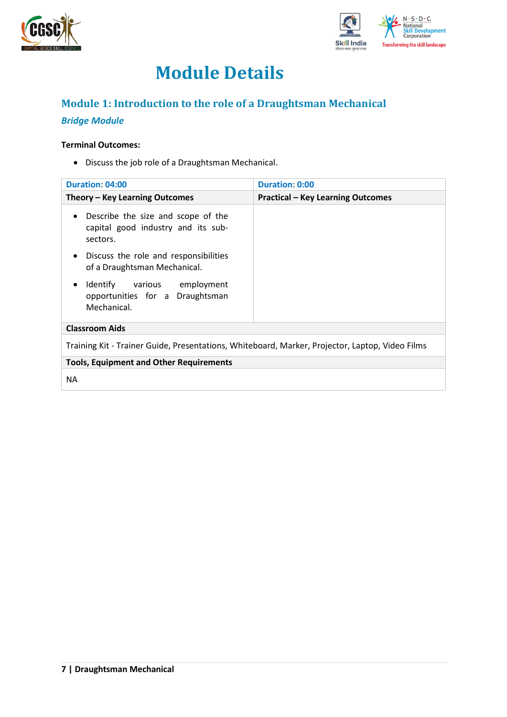



## **Module Details**

## <span id="page-6-0"></span>**Module 1: Introduction to the role of a Draughtsman Mechanical**

### *Bridge Module*

#### **Terminal Outcomes:**

• Discuss the job role of a Draughtsman Mechanical.

| <b>Duration: 04:00</b>                                                                            | Duration 0:00                            |  |  |  |
|---------------------------------------------------------------------------------------------------|------------------------------------------|--|--|--|
| Theory – Key Learning Outcomes                                                                    | <b>Practical - Key Learning Outcomes</b> |  |  |  |
| Describe the size and scope of the<br>$\bullet$<br>capital good industry and its sub-<br>sectors. |                                          |  |  |  |
| Discuss the role and responsibilities<br>$\bullet$<br>of a Draughtsman Mechanical.                |                                          |  |  |  |
| Identify various employment<br>$\bullet$<br>opportunities for a Draughtsman<br>Mechanical.        |                                          |  |  |  |
| <b>Classroom Aids</b>                                                                             |                                          |  |  |  |
| Training Kit - Trainer Guide, Presentations, Whiteboard, Marker, Projector, Laptop, Video Films   |                                          |  |  |  |
| <b>Tools, Equipment and Other Requirements</b>                                                    |                                          |  |  |  |
| <b>NA</b>                                                                                         |                                          |  |  |  |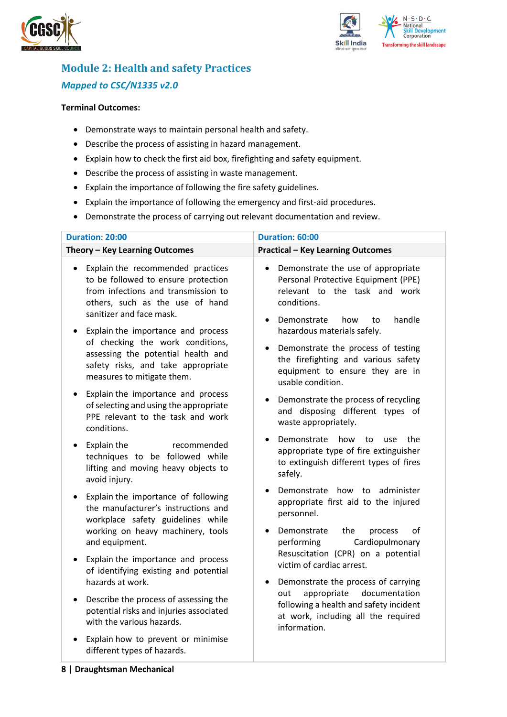



## <span id="page-7-0"></span>**Module 2: Health and safety Practices** *Mapped to CSC/N1335 v2.0*

#### **Terminal Outcomes:**

- Demonstrate ways to maintain personal health and safety.
- Describe the process of assisting in hazard management.
- Explain how to check the first aid box, firefighting and safety equipment.
- Describe the process of assisting in waste management.
- Explain the importance of following the fire safety guidelines.
- Explain the importance of following the emergency and first-aid procedures.
- Demonstrate the process of carrying out relevant documentation and review.

| Duration: 20:00                                                                                                                                                                               | Duration: 60:00                                                                                                                                                               |  |  |  |
|-----------------------------------------------------------------------------------------------------------------------------------------------------------------------------------------------|-------------------------------------------------------------------------------------------------------------------------------------------------------------------------------|--|--|--|
| Theory - Key Learning Outcomes                                                                                                                                                                | <b>Practical - Key Learning Outcomes</b>                                                                                                                                      |  |  |  |
| Explain the recommended practices<br>$\bullet$<br>to be followed to ensure protection<br>from infections and transmission to<br>others, such as the use of hand<br>sanitizer and face mask.   | Demonstrate the use of appropriate<br>$\bullet$<br>Personal Protective Equipment (PPE)<br>relevant to the task and work<br>conditions.<br>Demonstrate<br>handle<br>how<br>to  |  |  |  |
| Explain the importance and process<br>$\bullet$<br>of checking the work conditions,<br>assessing the potential health and<br>safety risks, and take appropriate<br>measures to mitigate them. | hazardous materials safely.<br>Demonstrate the process of testing<br>$\bullet$<br>the firefighting and various safety<br>equipment to ensure they are in<br>usable condition. |  |  |  |
| Explain the importance and process<br>$\bullet$<br>of selecting and using the appropriate<br>PPE relevant to the task and work<br>conditions.                                                 | Demonstrate the process of recycling<br>٠<br>and disposing different types of<br>waste appropriately.                                                                         |  |  |  |
| Explain the<br>recommended<br>$\bullet$<br>techniques to be followed while<br>lifting and moving heavy objects to<br>avoid injury.                                                            | Demonstrate<br>how<br>the<br>to<br>use<br>appropriate type of fire extinguisher<br>to extinguish different types of fires<br>safely.                                          |  |  |  |
| Explain the importance of following<br>$\bullet$<br>the manufacturer's instructions and<br>workplace safety guidelines while<br>working on heavy machinery, tools                             | Demonstrate how to administer<br>appropriate first aid to the injured<br>personnel.<br>Demonstrate<br>the<br>οf<br>process                                                    |  |  |  |
| and equipment.<br>Explain the importance and process<br>$\bullet$<br>of identifying existing and potential<br>hazards at work.                                                                | Cardiopulmonary<br>performing<br>Resuscitation (CPR) on a potential<br>victim of cardiac arrest.<br>Demonstrate the process of carrying<br>٠                                  |  |  |  |
| Describe the process of assessing the<br>$\bullet$<br>potential risks and injuries associated<br>with the various hazards.                                                                    | documentation<br>appropriate<br>out<br>following a health and safety incident<br>at work, including all the required<br>information.                                          |  |  |  |
| Explain how to prevent or minimise<br>different types of hazards.                                                                                                                             |                                                                                                                                                                               |  |  |  |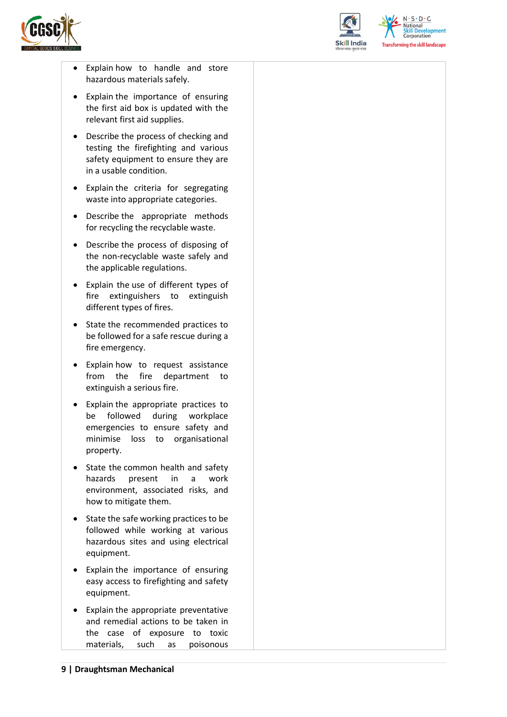



 $N.5.0.6$ National **Skill Development**<br>Corporation **Transforming the skill landscape** 

- Explain how to handle and store hazardous materials safely.
- Explain the importance of ensuring the first aid box is updated with the relevant first aid supplies.
- Describe the process of checking and testing the firefighting and various safety equipment to ensure they are in a usable condition.
- Explain the criteria for segregating waste into appropriate categories.
- Describe the appropriate methods for recycling the recyclable waste.
- Describe the process of disposing of the non-recyclable waste safely and the applicable regulations.
- Explain the use of different types of fire extinguishers to extinguish different types of fires.
- State the recommended practices to be followed for a safe rescue during a fire emergency.
- Explain how to request assistance from the fire department to extinguish a serious fire.
- Explain the appropriate practices to be followed during workplace emergencies to ensure safety and minimise loss to organisational property.
- State the common health and safety hazards present in a work environment, associated risks, and how to mitigate them.
- State the safe working practices to be followed while working at various hazardous sites and using electrical equipment.
- Explain the importance of ensuring easy access to firefighting and safety equipment.
- Explain the appropriate preventative and remedial actions to be taken in the case of exposure to toxic materials, such as poisonous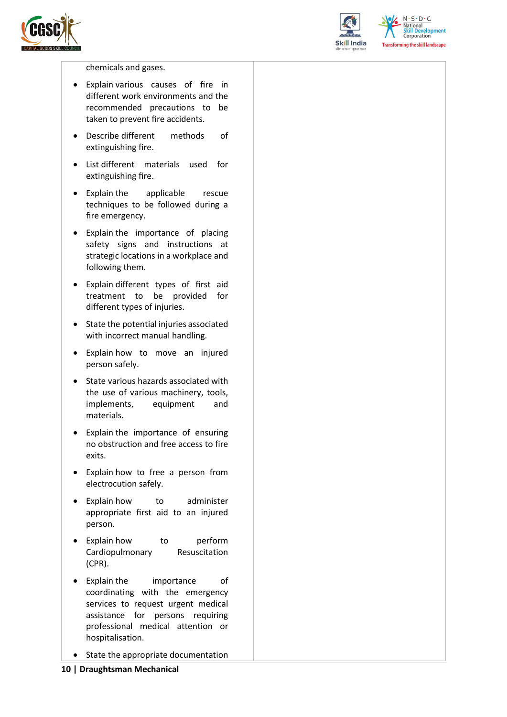



 $N \cdot S \cdot D \cdot C$ National **Skill Development**<br>Corporation **Transforming the skill landscape** 

chemicals and gases.

- Explain various causes of fire in different work environments and the recommended precautions to be taken to prevent fire accidents.
- Describe different methods of extinguishing fire.
- List different materials used for extinguishing fire.
- Explain the applicable rescue techniques to be followed during a fire emergency.
- Explain the importance of placing safety signs and instructions at strategic locations in a workplace and following them.
- Explain different types of first aid treatment to be provided for different types of injuries.
- State the potential injuries associated with incorrect manual handling.
- Explain how to move an injured person safely.
- State various hazards associated with the use of various machinery, tools, implements, equipment and materials.
- Explain the importance of ensuring no obstruction and free access to fire exits.
- Explain how to free a person from electrocution safely.
- Explain how to administer appropriate first aid to an injured person.
- Explain how to perform Cardiopulmonary Resuscitation (CPR).
- Explain the importance of coordinating with the emergency services to request urgent medical assistance for persons requiring professional medical attention or hospitalisation.
- State the appropriate documentation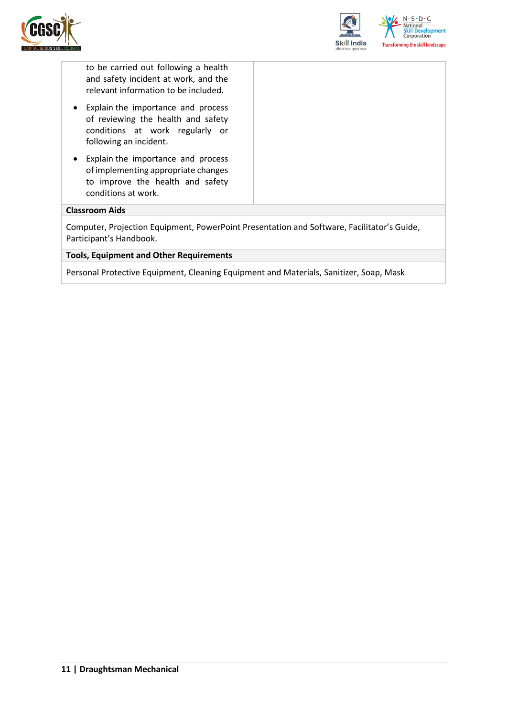



to be carried out following a health and safety incident at work, and the relevant information to be included.

- Explain the importance and process of reviewing the health and safety conditions at work regularly or following an incident.
- Explain the importance and process of implementing appropriate changes to improve the health and safety conditions at work.

#### **Classroom Aids**

Computer, Projection Equipment, PowerPoint Presentation and Software, Facilitator's Guide, Participant's Handbook.

#### **Tools, Equipment and Other Requirements**

Personal Protective Equipment, Cleaning Equipment and Materials, Sanitizer, Soap, Mask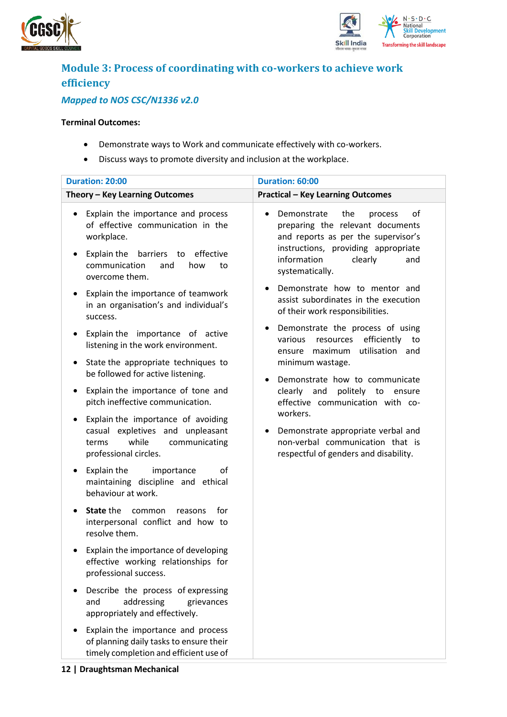



## <span id="page-11-0"></span>**Module 3: Process of coordinating with co-workers to achieve work efficiency**

### *Mapped to NOS CSC/N1336 v2.0*

#### **Terminal Outcomes:**

- Demonstrate ways to Work and communicate effectively with co-workers.
- Discuss ways to promote diversity and inclusion at the workplace.

| <b>Duration: 20:00</b>                                                                                                                                                                               | Duration: 60:00                                                                                                                                                                                           |  |  |  |
|------------------------------------------------------------------------------------------------------------------------------------------------------------------------------------------------------|-----------------------------------------------------------------------------------------------------------------------------------------------------------------------------------------------------------|--|--|--|
| Theory - Key Learning Outcomes                                                                                                                                                                       | <b>Practical - Key Learning Outcomes</b>                                                                                                                                                                  |  |  |  |
| Explain the importance and process<br>of effective communication in the<br>workplace.<br>Explain the<br>barriers to<br>effective<br>$\bullet$<br>communication<br>how<br>and<br>to<br>overcome them. | Demonstrate<br>the<br>of<br>process<br>preparing the relevant documents<br>and reports as per the supervisor's<br>instructions, providing appropriate<br>information<br>clearly<br>and<br>systematically. |  |  |  |
| Explain the importance of teamwork<br>$\bullet$<br>in an organisation's and individual's<br>success.                                                                                                 | Demonstrate how to mentor and<br>assist subordinates in the execution<br>of their work responsibilities.                                                                                                  |  |  |  |
| Explain the importance of active<br>$\bullet$<br>listening in the work environment.                                                                                                                  | Demonstrate the process of using<br>resources efficiently<br>various<br>to<br>utilisation and<br>maximum<br>ensure                                                                                        |  |  |  |
| State the appropriate techniques to<br>٠<br>be followed for active listening.                                                                                                                        | minimum wastage.<br>Demonstrate how to communicate<br>$\bullet$                                                                                                                                           |  |  |  |
| Explain the importance of tone and<br>٠<br>pitch ineffective communication.                                                                                                                          | clearly and<br>politely to ensure<br>effective communication with co-                                                                                                                                     |  |  |  |
| Explain the importance of avoiding<br>casual expletives and unpleasant<br>while<br>communicating<br>terms<br>professional circles.                                                                   | workers.<br>Demonstrate appropriate verbal and<br>non-verbal communication that is<br>respectful of genders and disability.                                                                               |  |  |  |
| Explain the<br>of<br>importance<br>maintaining discipline and ethical<br>behaviour at work.                                                                                                          |                                                                                                                                                                                                           |  |  |  |
| State the<br>common<br>for<br>reasons<br>interpersonal conflict and how to<br>resolve them.                                                                                                          |                                                                                                                                                                                                           |  |  |  |
| Explain the importance of developing<br>effective working relationships for<br>professional success.                                                                                                 |                                                                                                                                                                                                           |  |  |  |
| Describe the process of expressing<br>addressing<br>and<br>grievances<br>appropriately and effectively.                                                                                              |                                                                                                                                                                                                           |  |  |  |
| Explain the importance and process<br>of planning daily tasks to ensure their<br>timely completion and efficient use of                                                                              |                                                                                                                                                                                                           |  |  |  |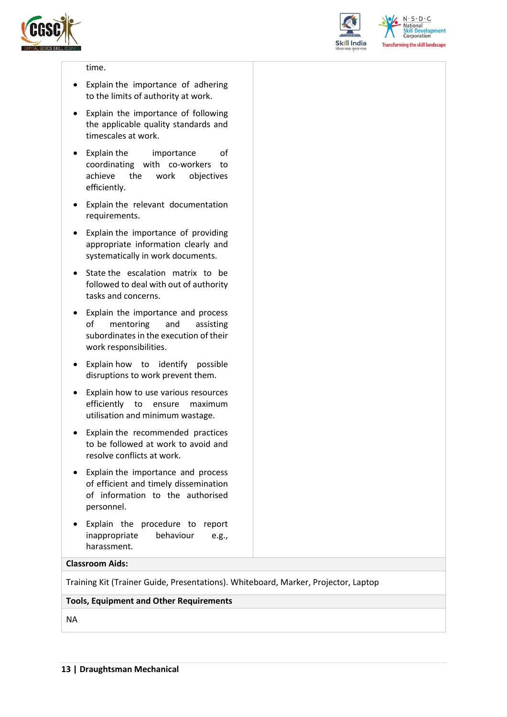



 $N.5.0.6$ **National Skill Development**<br>Corporation **Transforming the skill landscape** 

#### time.

- Explain the importance of adhering to the limits of authority at work.
- Explain the importance of following the applicable quality standards and timescales at work.
- Explain the importance of coordinating with co-workers to achieve the work objectives efficiently.
- Explain the relevant documentation requirements.
- Explain the importance of providing appropriate information clearly and systematically in work documents.
- State the escalation matrix to be followed to deal with out of authority tasks and concerns.
- Explain the importance and process of mentoring and assisting subordinates in the execution of their work responsibilities.
- Explain how to identify possible disruptions to work prevent them.
- Explain how to use various resources efficiently to ensure maximum utilisation and minimum wastage.
- Explain the recommended practices to be followed at work to avoid and resolve conflicts at work.
- Explain the importance and process of efficient and timely dissemination of information to the authorised personnel.
- Explain the procedure to report inappropriate behaviour e.g., harassment.

#### **Classroom Aids:**

Training Kit (Trainer Guide, Presentations). Whiteboard, Marker, Projector, Laptop

#### **Tools, Equipment and Other Requirements**

NA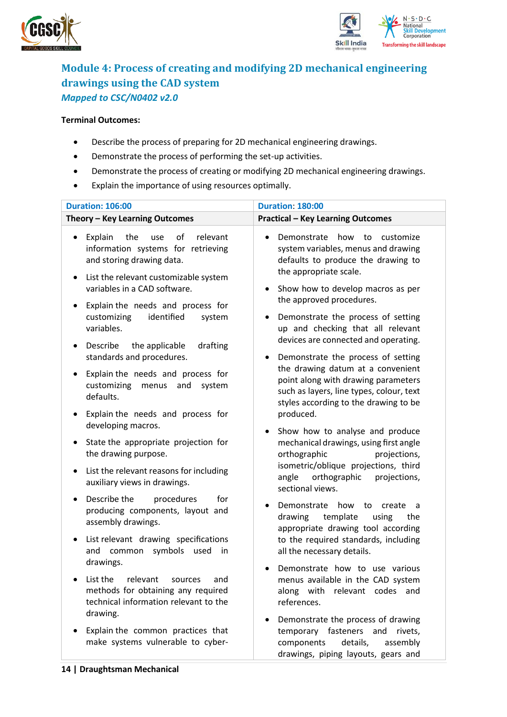



### <span id="page-13-0"></span>**Module 4: Process of creating and modifying 2D mechanical engineering drawings using the CAD system** *Mapped to CSC/N0402 v2.0*

#### **Terminal Outcomes:**

- Describe the process of preparing for 2D mechanical engineering drawings.
- Demonstrate the process of performing the set-up activities.
- Demonstrate the process of creating or modifying 2D mechanical engineering drawings.
- Explain the importance of using resources optimally.

| <b>Duration: 106:00</b>                                                                                                                                                                                                                                                                                              | <b>Duration: 180:00</b>                                                                                                                                                                                                                                                                      |  |  |  |
|----------------------------------------------------------------------------------------------------------------------------------------------------------------------------------------------------------------------------------------------------------------------------------------------------------------------|----------------------------------------------------------------------------------------------------------------------------------------------------------------------------------------------------------------------------------------------------------------------------------------------|--|--|--|
| Theory - Key Learning Outcomes                                                                                                                                                                                                                                                                                       | <b>Practical - Key Learning Outcomes</b>                                                                                                                                                                                                                                                     |  |  |  |
| of<br>Explain<br>the<br>relevant<br>use<br>$\bullet$<br>information systems for retrieving<br>and storing drawing data.<br>List the relevant customizable system<br>$\bullet$<br>variables in a CAD software.<br>Explain the needs and process for<br>$\bullet$<br>customizing<br>identified<br>system<br>variables. | Demonstrate how to customize<br>$\bullet$<br>system variables, menus and drawing<br>defaults to produce the drawing to<br>the appropriate scale.<br>Show how to develop macros as per<br>the approved procedures.<br>Demonstrate the process of setting<br>up and checking that all relevant |  |  |  |
| Describe<br>the applicable<br>drafting<br>$\bullet$<br>standards and procedures.                                                                                                                                                                                                                                     | devices are connected and operating.<br>Demonstrate the process of setting<br>$\bullet$                                                                                                                                                                                                      |  |  |  |
| Explain the needs and process for<br>$\bullet$<br>customizing<br>menus and system<br>defaults.                                                                                                                                                                                                                       | the drawing datum at a convenient<br>point along with drawing parameters<br>such as layers, line types, colour, text<br>styles according to the drawing to be                                                                                                                                |  |  |  |
| Explain the needs and process for<br>٠<br>developing macros.                                                                                                                                                                                                                                                         | produced.                                                                                                                                                                                                                                                                                    |  |  |  |
| State the appropriate projection for<br>$\bullet$<br>the drawing purpose.                                                                                                                                                                                                                                            | Show how to analyse and produce<br>$\bullet$<br>mechanical drawings, using first angle<br>orthographic<br>projections,                                                                                                                                                                       |  |  |  |
| List the relevant reasons for including<br>$\bullet$<br>auxiliary views in drawings.                                                                                                                                                                                                                                 | isometric/oblique projections, third<br>orthographic<br>angle<br>projections,<br>sectional views.                                                                                                                                                                                            |  |  |  |
| Describe the<br>procedures<br>for<br>$\bullet$<br>producing components, layout and<br>assembly drawings.                                                                                                                                                                                                             | Demonstrate<br>how<br>to<br>create<br>a<br>drawing<br>template<br>using<br>the<br>appropriate drawing tool according                                                                                                                                                                         |  |  |  |
| List relevant drawing specifications<br>$\bullet$<br>symbols used in<br>and common                                                                                                                                                                                                                                   | to the required standards, including<br>all the necessary details.                                                                                                                                                                                                                           |  |  |  |
| drawings.<br>List the relevant sources<br>and<br>methods for obtaining any required<br>technical information relevant to the<br>drawing.                                                                                                                                                                             | Demonstrate how to use various<br>menus available in the CAD system<br>along with relevant codes<br>and<br>references.                                                                                                                                                                       |  |  |  |
| Explain the common practices that<br>make systems vulnerable to cyber-                                                                                                                                                                                                                                               | Demonstrate the process of drawing<br>temporary fasteners and<br>rivets,<br>details,<br>components<br>assembly                                                                                                                                                                               |  |  |  |

drawings, piping layouts, gears and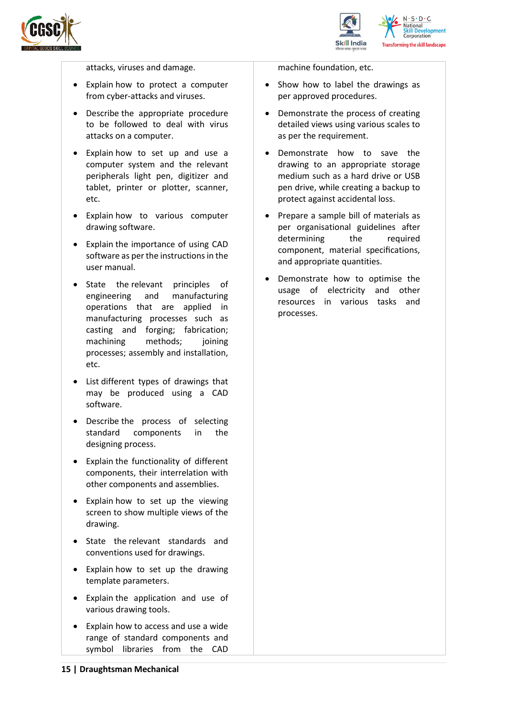



attacks, viruses and damage.

- Explain how to protect a computer from cyber-attacks and viruses.
- Describe the appropriate procedure to be followed to deal with virus attacks on a computer.
- Explain how to set up and use a computer system and the relevant peripherals light pen, digitizer and tablet, printer or plotter, scanner, etc.
- Explain how to various computer drawing software.
- Explain the importance of using CAD software as per the instructions in the user manual.
- State the relevant principles of engineering and manufacturing operations that are applied in manufacturing processes such as casting and forging; fabrication; machining methods: joining processes; assembly and installation, etc.
- List different types of drawings that may be produced using a CAD software.
- Describe the process of selecting standard components in the designing process.
- Explain the functionality of different components, their interrelation with other components and assemblies.
- Explain how to set up the viewing screen to show multiple views of the drawing.
- State the relevant standards and conventions used for drawings.
- Explain how to set up the drawing template parameters.
- Explain the application and use of various drawing tools.
- Explain how to access and use a wide range of standard components and symbol libraries from the CAD

machine foundation, etc.

- Show how to label the drawings as per approved procedures.
- Demonstrate the process of creating detailed views using various scales to as per the requirement.
- Demonstrate how to save the drawing to an appropriate storage medium such as a hard drive or USB pen drive, while creating a backup to protect against accidental loss.
- Prepare a sample bill of materials as per organisational guidelines after determining the required component, material specifications, and appropriate quantities.
- Demonstrate how to optimise the usage of electricity and other resources in various tasks and processes.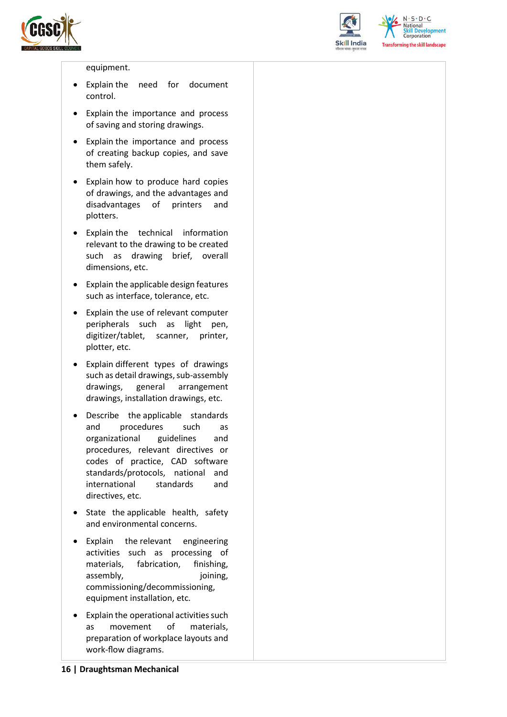



 $N.5.0.6$ **Skill Development**<br>Corporation **Transforming the skill landscape** 

#### equipment.

- Explain the need for document control.
- Explain the importance and process of saving and storing drawings.
- Explain the importance and process of creating backup copies, and save them safely.
- Explain how to produce hard copies of drawings, and the advantages and disadvantages of printers and plotters.
- Explain the technical information relevant to the drawing to be created such as drawing brief, overall dimensions, etc.
- Explain the applicable design features such as interface, tolerance, etc.
- Explain the use of relevant computer peripherals such as light pen, digitizer/tablet, scanner, printer, plotter, etc.
- Explain different types of drawings such as detail drawings, sub-assembly drawings, general arrangement drawings, installation drawings, etc.
- Describe the applicable standards and procedures such as organizational guidelines and procedures, relevant directives or codes of practice, CAD software standards/protocols, national and international standards and directives, etc.
- State the applicable health, safety and environmental concerns.
- Explain the relevant engineering activities such as processing of materials, fabrication, finishing, assembly, ioining, commissioning/decommissioning, equipment installation, etc.
- Explain the operational activities such as movement of materials, preparation of workplace layouts and work-flow diagrams.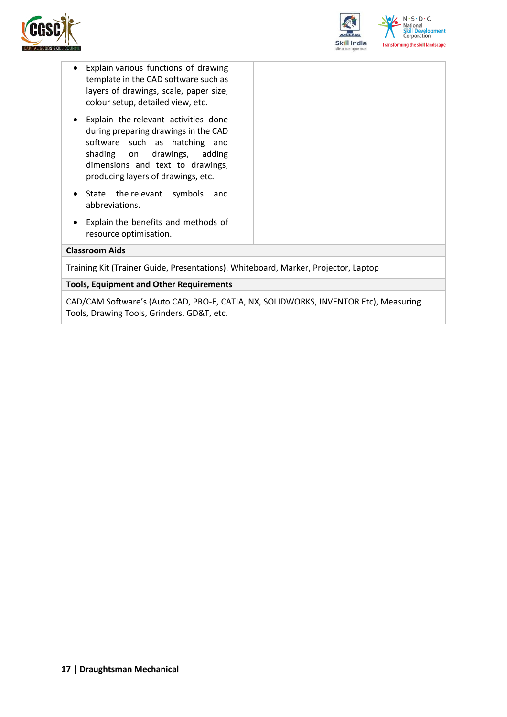



- Explain various functions of drawing template in the CAD software such as layers of drawings, scale, paper size, colour setup, detailed view, etc.
- Explain the relevant activities done during preparing drawings in the CAD software such as hatching and shading on drawings, adding dimensions and text to drawings, producing layers of drawings, etc.
- State the relevant symbols and abbreviations.
- Explain the benefits and methods of resource optimisation.

#### **Classroom Aids**

Training Kit (Trainer Guide, Presentations). Whiteboard, Marker, Projector, Laptop

#### **Tools, Equipment and Other Requirements**

CAD/CAM Software's (Auto CAD, PRO-E, CATIA, NX, SOLIDWORKS, INVENTOR Etc), Measuring Tools, Drawing Tools, Grinders, GD&T, etc.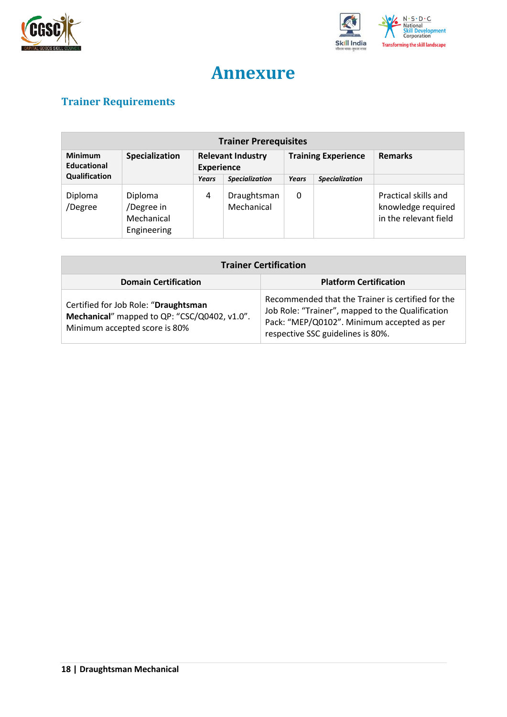



## **Annexure**

## <span id="page-17-1"></span><span id="page-17-0"></span>**Trainer Requirements**

| <b>Trainer Prerequisites</b>         |                                                    |       |                                               |       |                            |                                                                     |  |
|--------------------------------------|----------------------------------------------------|-------|-----------------------------------------------|-------|----------------------------|---------------------------------------------------------------------|--|
| <b>Minimum</b><br><b>Educational</b> | Specialization                                     |       | <b>Relevant Industry</b><br><b>Experience</b> |       | <b>Training Experience</b> | <b>Remarks</b>                                                      |  |
| Qualification                        |                                                    | Years | <b>Specialization</b>                         | Years | <b>Specialization</b>      |                                                                     |  |
| Diploma<br>/Degree                   | Diploma<br>/Degree in<br>Mechanical<br>Engineering | 4     | Draughtsman<br>Mechanical                     | 0     |                            | Practical skills and<br>knowledge required<br>in the relevant field |  |

| <b>Trainer Certification</b>                                                                                          |                                                                                                                                                                                          |  |  |  |  |
|-----------------------------------------------------------------------------------------------------------------------|------------------------------------------------------------------------------------------------------------------------------------------------------------------------------------------|--|--|--|--|
| <b>Platform Certification</b><br><b>Domain Certification</b>                                                          |                                                                                                                                                                                          |  |  |  |  |
| Certified for Job Role: "Draughtsman<br>Mechanical" mapped to QP: "CSC/Q0402, v1.0".<br>Minimum accepted score is 80% | Recommended that the Trainer is certified for the<br>Job Role: "Trainer", mapped to the Qualification<br>Pack: "MEP/Q0102". Minimum accepted as per<br>respective SSC guidelines is 80%. |  |  |  |  |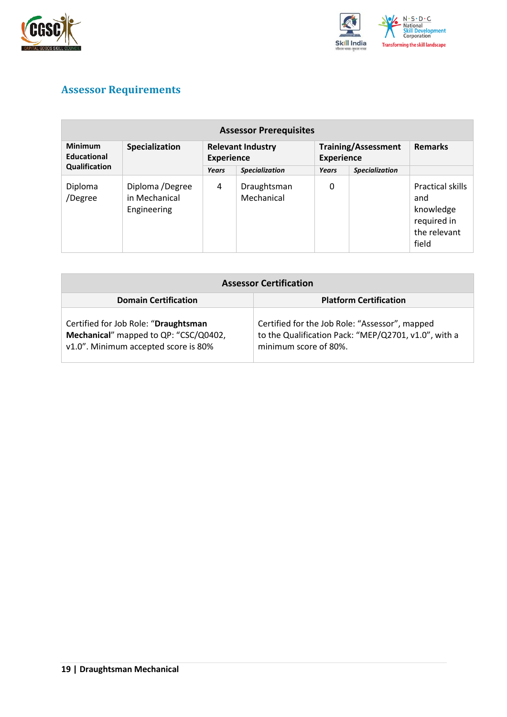



## <span id="page-18-0"></span>**Assessor Requirements**

| <b>Assessor Prerequisites</b> |                                                 |                                               |                           |                   |                            |                                                                              |  |
|-------------------------------|-------------------------------------------------|-----------------------------------------------|---------------------------|-------------------|----------------------------|------------------------------------------------------------------------------|--|
| <b>Minimum</b><br>Educational | Specialization                                  | <b>Relevant Industry</b><br><b>Experience</b> |                           | <b>Experience</b> | <b>Training/Assessment</b> | <b>Remarks</b>                                                               |  |
| Qualification                 |                                                 | Years                                         | <b>Specialization</b>     | Years             | <b>Specialization</b>      |                                                                              |  |
| Diploma<br>/Degree            | Diploma /Degree<br>in Mechanical<br>Engineering | 4                                             | Draughtsman<br>Mechanical | 0                 |                            | Practical skills<br>and<br>knowledge<br>required in<br>the relevant<br>field |  |

| <b>Assessor Certification</b>                                                                                         |                                                                                                                                 |
|-----------------------------------------------------------------------------------------------------------------------|---------------------------------------------------------------------------------------------------------------------------------|
| <b>Domain Certification</b>                                                                                           | <b>Platform Certification</b>                                                                                                   |
| Certified for Job Role: "Draughtsman<br>Mechanical" mapped to QP: "CSC/Q0402,<br>v1.0". Minimum accepted score is 80% | Certified for the Job Role: "Assessor", mapped<br>to the Qualification Pack: "MEP/Q2701, v1.0", with a<br>minimum score of 80%. |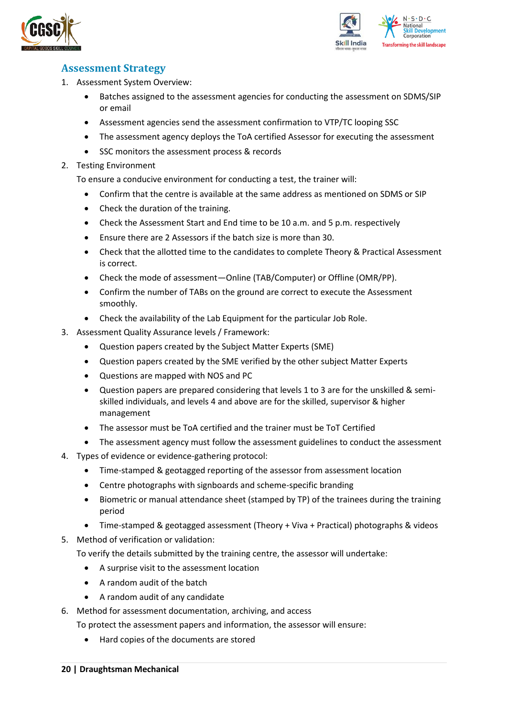



### <span id="page-19-0"></span>**Assessment Strategy**

- 1. Assessment System Overview:
	- Batches assigned to the assessment agencies for conducting the assessment on SDMS/SIP or email
	- Assessment agencies send the assessment confirmation to VTP/TC looping SSC
	- The assessment agency deploys the ToA certified Assessor for executing the assessment
	- SSC monitors the assessment process & records
- 2. Testing Environment

To ensure a conducive environment for conducting a test, the trainer will:

- Confirm that the centre is available at the same address as mentioned on SDMS or SIP
- Check the duration of the training.
- Check the Assessment Start and End time to be 10 a.m. and 5 p.m. respectively
- Ensure there are 2 Assessors if the batch size is more than 30.
- Check that the allotted time to the candidates to complete Theory & Practical Assessment is correct.
- Check the mode of assessment—Online (TAB/Computer) or Offline (OMR/PP).
- Confirm the number of TABs on the ground are correct to execute the Assessment smoothly.
- Check the availability of the Lab Equipment for the particular Job Role.
- 3. Assessment Quality Assurance levels / Framework:
	- Question papers created by the Subject Matter Experts (SME)
	- Question papers created by the SME verified by the other subject Matter Experts
	- Questions are mapped with NOS and PC
	- Question papers are prepared considering that levels 1 to 3 are for the unskilled & semiskilled individuals, and levels 4 and above are for the skilled, supervisor & higher management
	- The assessor must be ToA certified and the trainer must be ToT Certified
	- The assessment agency must follow the assessment guidelines to conduct the assessment
- 4. Types of evidence or evidence-gathering protocol:
	- Time-stamped & geotagged reporting of the assessor from assessment location
	- Centre photographs with signboards and scheme-specific branding
	- Biometric or manual attendance sheet (stamped by TP) of the trainees during the training period
	- Time-stamped & geotagged assessment (Theory + Viva + Practical) photographs & videos
- 5. Method of verification or validation:

To verify the details submitted by the training centre, the assessor will undertake:

- A surprise visit to the assessment location
- A random audit of the batch
- A random audit of any candidate
- 6. Method for assessment documentation, archiving, and access
	- To protect the assessment papers and information, the assessor will ensure:
		- Hard copies of the documents are stored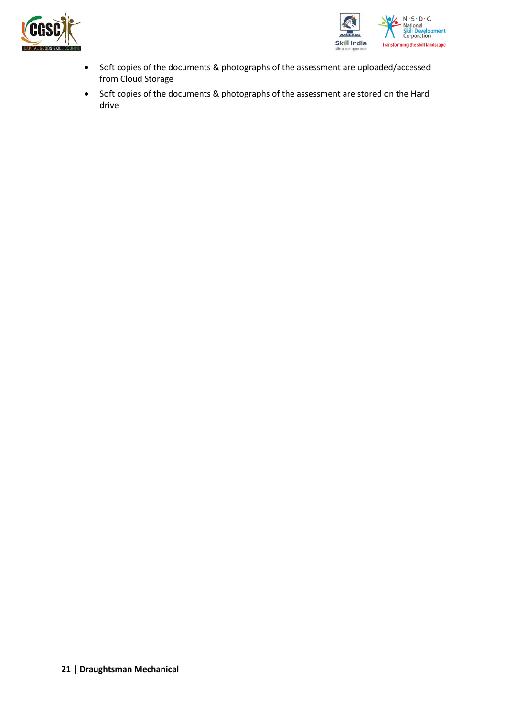



- Soft copies of the documents & photographs of the assessment are uploaded/accessed from Cloud Storage
- Soft copies of the documents & photographs of the assessment are stored on the Hard drive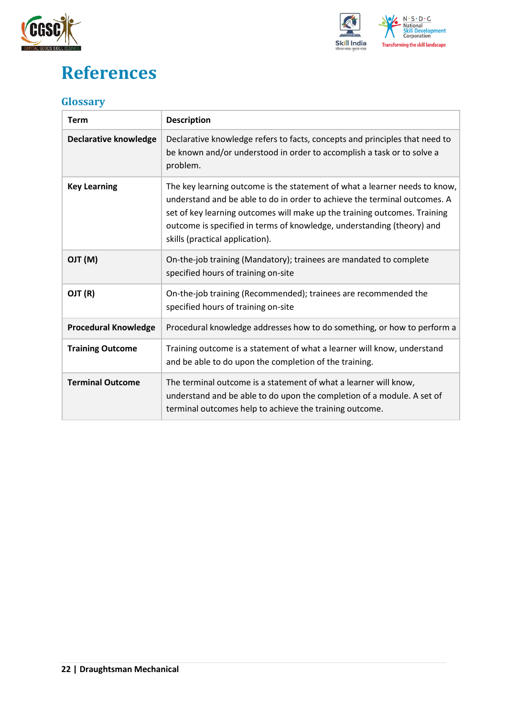



## <span id="page-21-0"></span>**References**

### <span id="page-21-1"></span>**Glossary**

| <b>Term</b>                  | <b>Description</b>                                                                                                                                                                                                                                                                                                                                |
|------------------------------|---------------------------------------------------------------------------------------------------------------------------------------------------------------------------------------------------------------------------------------------------------------------------------------------------------------------------------------------------|
| <b>Declarative knowledge</b> | Declarative knowledge refers to facts, concepts and principles that need to<br>be known and/or understood in order to accomplish a task or to solve a<br>problem.                                                                                                                                                                                 |
| <b>Key Learning</b>          | The key learning outcome is the statement of what a learner needs to know,<br>understand and be able to do in order to achieve the terminal outcomes. A<br>set of key learning outcomes will make up the training outcomes. Training<br>outcome is specified in terms of knowledge, understanding (theory) and<br>skills (practical application). |
| (M) TLO                      | On-the-job training (Mandatory); trainees are mandated to complete<br>specified hours of training on-site                                                                                                                                                                                                                                         |
| OJT (R)                      | On-the-job training (Recommended); trainees are recommended the<br>specified hours of training on-site                                                                                                                                                                                                                                            |
| <b>Procedural Knowledge</b>  | Procedural knowledge addresses how to do something, or how to perform a                                                                                                                                                                                                                                                                           |
| <b>Training Outcome</b>      | Training outcome is a statement of what a learner will know, understand<br>and be able to do upon the completion of the training.                                                                                                                                                                                                                 |
| <b>Terminal Outcome</b>      | The terminal outcome is a statement of what a learner will know,<br>understand and be able to do upon the completion of a module. A set of<br>terminal outcomes help to achieve the training outcome.                                                                                                                                             |